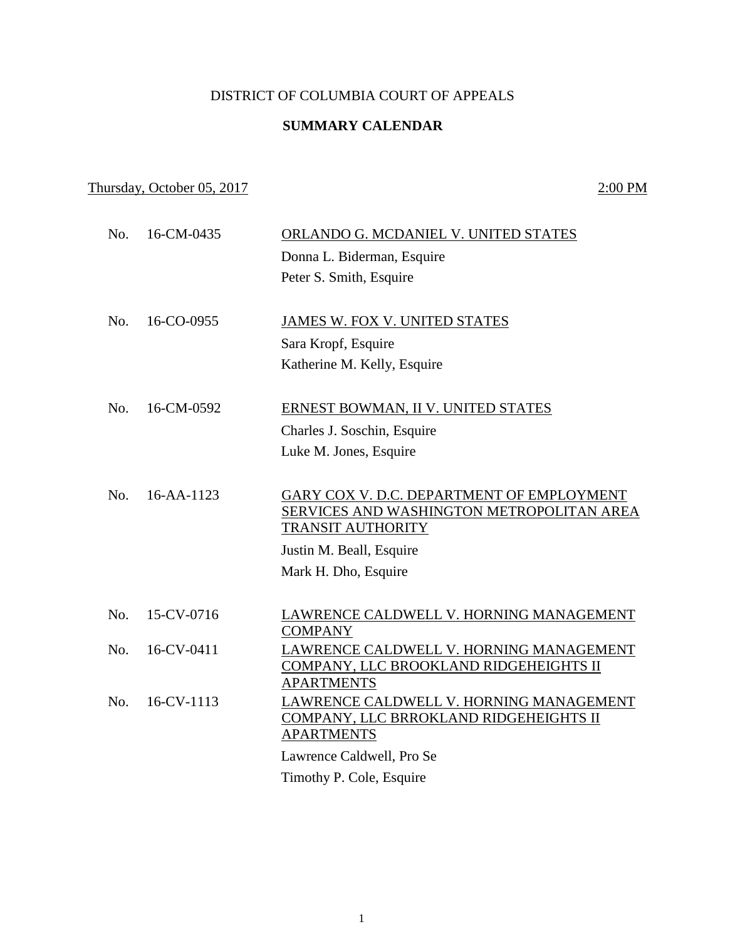## DISTRICT OF COLUMBIA COURT OF APPEALS

## **SUMMARY CALENDAR**

## Thursday, October 05, 2017 2:00 PM

| No. | 16-CM-0435 | ORLANDO G. MCDANIEL V. UNITED STATES                        |
|-----|------------|-------------------------------------------------------------|
|     |            | Donna L. Biderman, Esquire                                  |
|     |            | Peter S. Smith, Esquire                                     |
|     |            |                                                             |
| No. | 16-CO-0955 | JAMES W. FOX V. UNITED STATES                               |
|     |            | Sara Kropf, Esquire                                         |
|     |            | Katherine M. Kelly, Esquire                                 |
| No. | 16-CM-0592 | ERNEST BOWMAN, II V. UNITED STATES                          |
|     |            | Charles J. Soschin, Esquire                                 |
|     |            | Luke M. Jones, Esquire                                      |
|     |            |                                                             |
| No. | 16-AA-1123 | GARY COX V. D.C. DEPARTMENT OF EMPLOYMENT                   |
|     |            | SERVICES AND WASHINGTON METROPOLITAN AREA                   |
|     |            | <b>TRANSIT AUTHORITY</b>                                    |
|     |            | Justin M. Beall, Esquire                                    |
|     |            | Mark H. Dho, Esquire                                        |
| No. | 15-CV-0716 | LAWRENCE CALDWELL V. HORNING MANAGEMENT                     |
|     |            | <b>COMPANY</b>                                              |
| No. | 16-CV-0411 | LAWRENCE CALDWELL V. HORNING MANAGEMENT                     |
|     |            | COMPANY, LLC BROOKLAND RIDGEHEIGHTS II<br><b>APARTMENTS</b> |
| No. | 16-CV-1113 | LAWRENCE CALDWELL V. HORNING MANAGEMENT                     |
|     |            | COMPANY, LLC BRROKLAND RIDGEHEIGHTS II                      |
|     |            | <b>APARTMENTS</b>                                           |
|     |            | Lawrence Caldwell, Pro Se                                   |
|     |            | Timothy P. Cole, Esquire                                    |
|     |            |                                                             |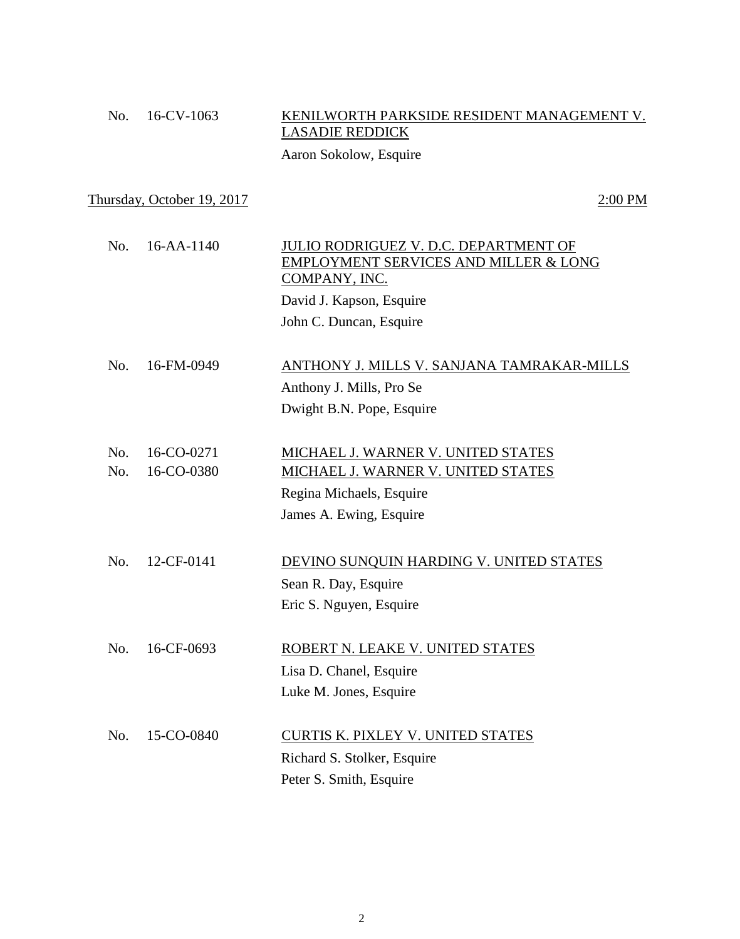## No. 16-CV-1063 KENILWORTH PARKSIDE RESIDENT MANAGEMENT V. LASADIE REDDICK

Aaron Sokolow, Esquire

Thursday, October 19, 2017 2:00 PM

| No. | 16-AA-1140 | JULIO RODRIGUEZ V. D.C. DEPARTMENT OF<br>EMPLOYMENT SERVICES AND MILLER & LONG<br>COMPANY, INC.<br>David J. Kapson, Esquire<br>John C. Duncan, Esquire |
|-----|------------|--------------------------------------------------------------------------------------------------------------------------------------------------------|
|     |            |                                                                                                                                                        |
| No. | 16-FM-0949 | ANTHONY J. MILLS V. SANJANA TAMRAKAR-MILLS                                                                                                             |
|     |            | Anthony J. Mills, Pro Se                                                                                                                               |
|     |            | Dwight B.N. Pope, Esquire                                                                                                                              |
|     |            |                                                                                                                                                        |
| No. | 16-CO-0271 | MICHAEL J. WARNER V. UNITED STATES                                                                                                                     |
| No. | 16-CO-0380 | MICHAEL J. WARNER V. UNITED STATES                                                                                                                     |
|     |            | Regina Michaels, Esquire                                                                                                                               |
|     |            | James A. Ewing, Esquire                                                                                                                                |
|     |            |                                                                                                                                                        |
| No. | 12-CF-0141 | DEVINO SUNQUIN HARDING V. UNITED STATES                                                                                                                |
|     |            | Sean R. Day, Esquire                                                                                                                                   |
|     |            | Eric S. Nguyen, Esquire                                                                                                                                |
|     |            |                                                                                                                                                        |
| No. | 16-CF-0693 | ROBERT N. LEAKE V. UNITED STATES                                                                                                                       |
|     |            | Lisa D. Chanel, Esquire                                                                                                                                |
|     |            | Luke M. Jones, Esquire                                                                                                                                 |
|     |            |                                                                                                                                                        |
| No. | 15-CO-0840 | CURTIS K. PIXLEY V. UNITED STATES                                                                                                                      |
|     |            | Richard S. Stolker, Esquire                                                                                                                            |
|     |            | Peter S. Smith, Esquire                                                                                                                                |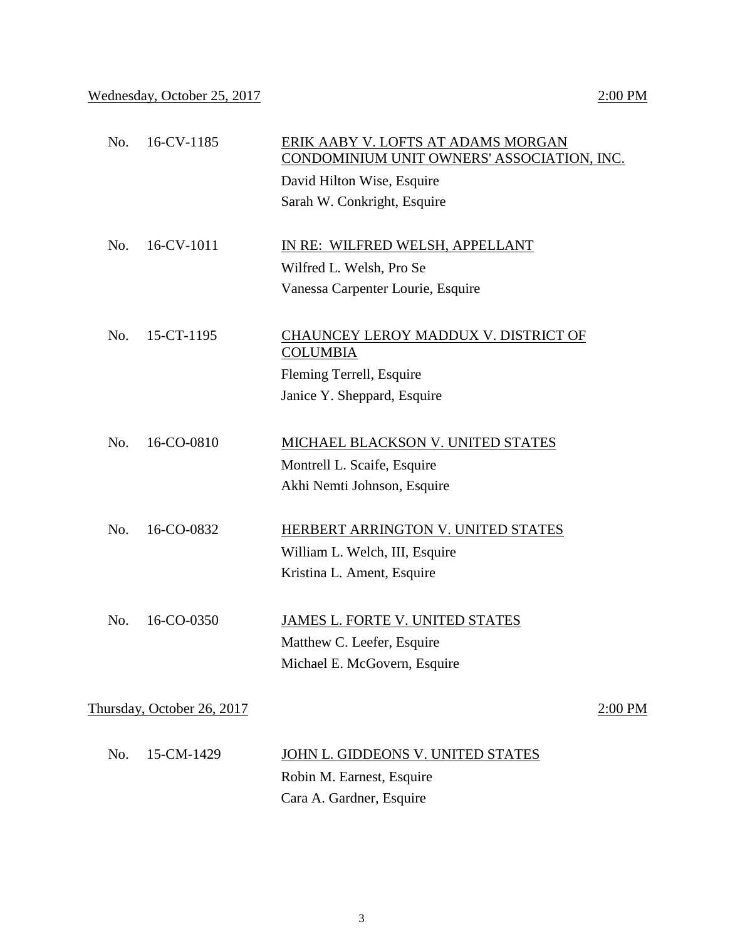| No. | 16-CV-1185                 | ERIK AABY V. LOFTS AT ADAMS MORGAN<br>CONDOMINIUM UNIT OWNERS' ASSOCIATION, INC. |           |
|-----|----------------------------|----------------------------------------------------------------------------------|-----------|
|     |                            | David Hilton Wise, Esquire                                                       |           |
|     |                            | Sarah W. Conkright, Esquire                                                      |           |
|     |                            |                                                                                  |           |
| No. | 16-CV-1011                 | IN RE: WILFRED WELSH, APPELLANT                                                  |           |
|     |                            | Wilfred L. Welsh, Pro Se                                                         |           |
|     |                            | Vanessa Carpenter Lourie, Esquire                                                |           |
|     |                            |                                                                                  |           |
| No. | 15-CT-1195                 | CHAUNCEY LEROY MADDUX V. DISTRICT OF<br><b>COLUMBIA</b>                          |           |
|     |                            | Fleming Terrell, Esquire                                                         |           |
|     |                            | Janice Y. Sheppard, Esquire                                                      |           |
|     |                            |                                                                                  |           |
| No. | 16-CO-0810                 | MICHAEL BLACKSON V. UNITED STATES                                                |           |
|     |                            | Montrell L. Scaife, Esquire                                                      |           |
|     |                            | Akhi Nemti Johnson, Esquire                                                      |           |
|     |                            |                                                                                  |           |
| No. | 16-CO-0832                 | HERBERT ARRINGTON V. UNITED STATES                                               |           |
|     |                            | William L. Welch, III, Esquire                                                   |           |
|     |                            | Kristina L. Ament, Esquire                                                       |           |
| No. | 16-CO-0350                 | JAMES L. FORTE V. UNITED STATES                                                  |           |
|     |                            | Matthew C. Leefer, Esquire                                                       |           |
|     |                            | Michael E. McGovern, Esquire                                                     |           |
|     |                            |                                                                                  |           |
|     | Thursday, October 26, 2017 |                                                                                  | $2:00$ PM |
|     |                            |                                                                                  |           |
| No. | 15-CM-1429                 | JOHN L. GIDDEONS V. UNITED STATES                                                |           |
|     |                            | Robin M. Earnest, Esquire                                                        |           |
|     |                            | Cara A. Gardner, Esquire                                                         |           |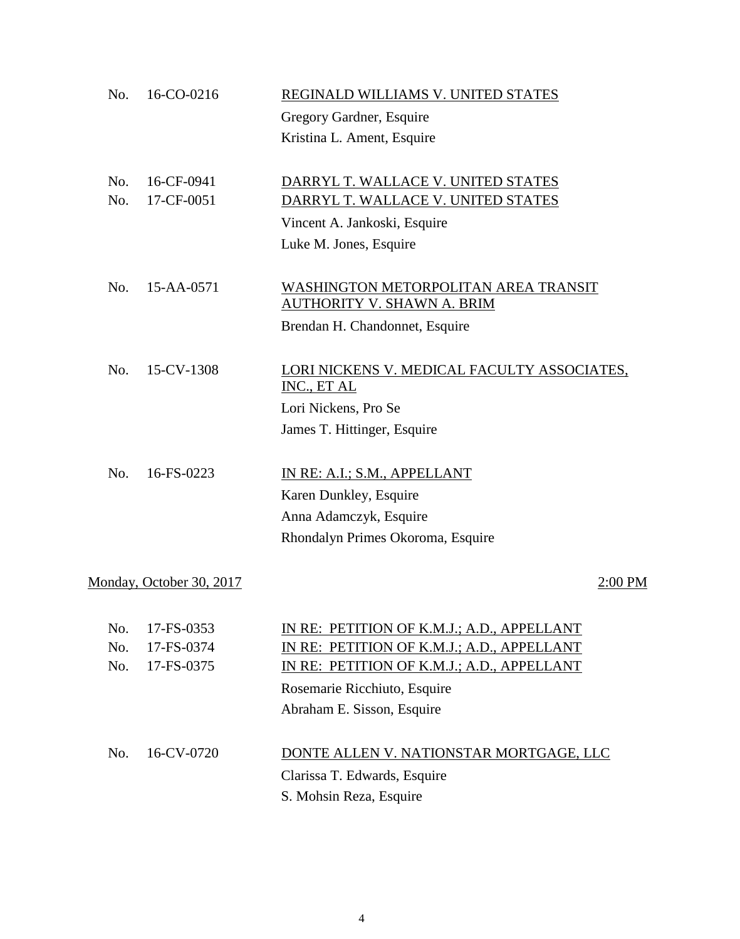| No. | 16-CO-0216               | REGINALD WILLIAMS V. UNITED STATES                                 |
|-----|--------------------------|--------------------------------------------------------------------|
|     |                          | Gregory Gardner, Esquire                                           |
|     |                          | Kristina L. Ament, Esquire                                         |
| No. | 16-CF-0941               | DARRYL T. WALLACE V. UNITED STATES                                 |
| No. | 17-CF-0051               | DARRYL T. WALLACE V. UNITED STATES                                 |
|     |                          | Vincent A. Jankoski, Esquire                                       |
|     |                          | Luke M. Jones, Esquire                                             |
| No. | 15-AA-0571               | WASHINGTON METORPOLITAN AREA TRANSIT<br>AUTHORITY V. SHAWN A. BRIM |
|     |                          | Brendan H. Chandonnet, Esquire                                     |
| No. | 15-CV-1308               | LORI NICKENS V. MEDICAL FACULTY ASSOCIATES,<br>INC., ET AL         |
|     |                          | Lori Nickens, Pro Se                                               |
|     |                          | James T. Hittinger, Esquire                                        |
| No. | 16-FS-0223               | IN RE: A.I.; S.M., APPELLANT                                       |
|     |                          | Karen Dunkley, Esquire                                             |
|     |                          | Anna Adamczyk, Esquire                                             |
|     |                          | Rhondalyn Primes Okoroma, Esquire                                  |
|     | Monday, October 30, 2017 | 2:00 PM                                                            |
| No. | 17-FS-0353               | IN RE: PETITION OF K.M.J.; A.D., APPELLANT                         |
| No. | 17-FS-0374               | IN RE: PETITION OF K.M.J.; A.D., APPELLANT                         |
| No. | 17-FS-0375               | IN RE: PETITION OF K.M.J.; A.D., APPELLANT                         |
|     |                          | Rosemarie Ricchiuto, Esquire                                       |
|     |                          | Abraham E. Sisson, Esquire                                         |
| No. | 16-CV-0720               | DONTE ALLEN V. NATIONSTAR MORTGAGE, LLC                            |
|     |                          | Clarissa T. Edwards, Esquire                                       |
|     |                          | S. Mohsin Reza, Esquire                                            |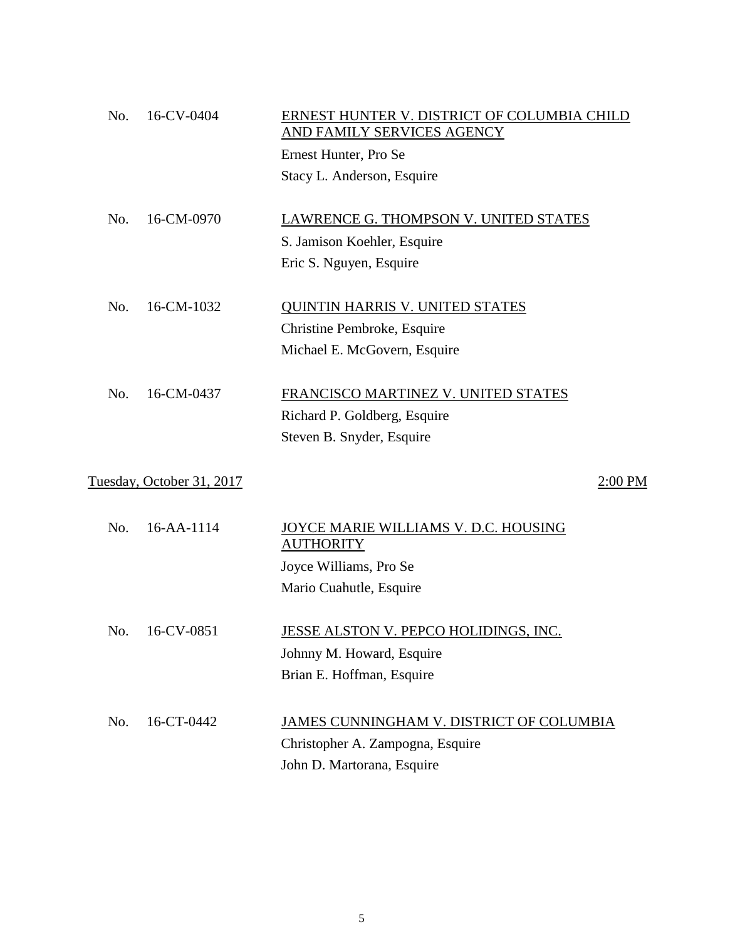| No. | 16-CV-0404                | ERNEST HUNTER V. DISTRICT OF COLUMBIA CHILD<br>AND FAMILY SERVICES AGENCY |
|-----|---------------------------|---------------------------------------------------------------------------|
|     |                           | Ernest Hunter, Pro Se                                                     |
|     |                           | Stacy L. Anderson, Esquire                                                |
| No. | 16-CM-0970                | LAWRENCE G. THOMPSON V. UNITED STATES                                     |
|     |                           | S. Jamison Koehler, Esquire                                               |
|     |                           | Eric S. Nguyen, Esquire                                                   |
| No. | 16-CM-1032                | <b>QUINTIN HARRIS V. UNITED STATES</b>                                    |
|     |                           | Christine Pembroke, Esquire                                               |
|     |                           | Michael E. McGovern, Esquire                                              |
| No. | 16-CM-0437                | FRANCISCO MARTINEZ V. UNITED STATES                                       |
|     |                           | Richard P. Goldberg, Esquire                                              |
|     |                           | Steven B. Snyder, Esquire                                                 |
|     | Tuesday, October 31, 2017 | $2:00$ PM                                                                 |
| No. | 16-AA-1114                | <u>JOYCE MARIE WILLIAMS V. D.C. HOUSING</u><br><b>AUTHORITY</b>           |
|     |                           | Joyce Williams, Pro Se                                                    |
|     |                           | Mario Cuahutle, Esquire                                                   |
| No. | 16-CV-0851                | JESSE ALSTON V. PEPCO HOLIDINGS, INC.                                     |
|     |                           | Johnny M. Howard, Esquire                                                 |
|     |                           | Brian E. Hoffman, Esquire                                                 |
| No. | 16-CT-0442                | JAMES CUNNINGHAM V. DISTRICT OF COLUMBIA                                  |
|     |                           | Christopher A. Zampogna, Esquire                                          |
|     |                           | John D. Martorana, Esquire                                                |